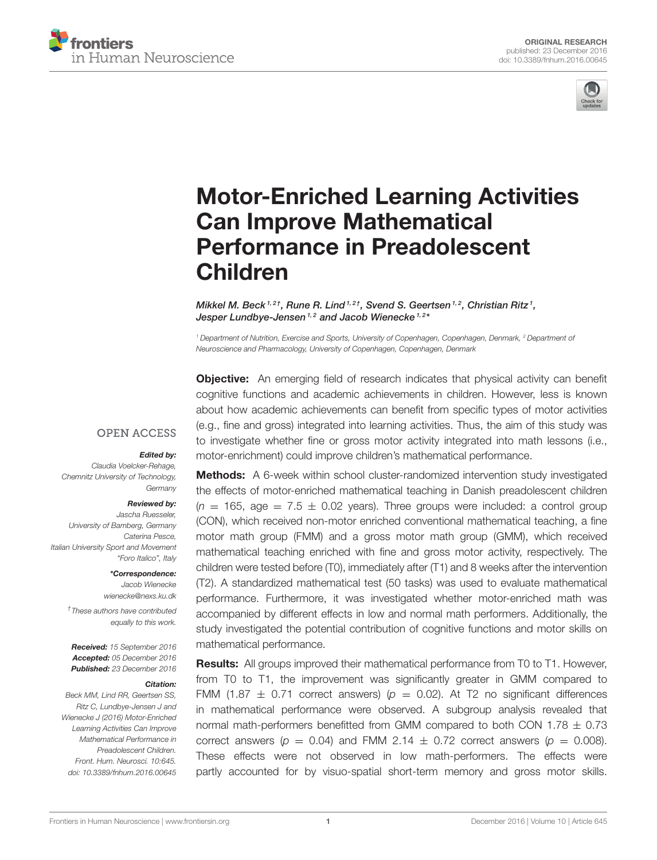



# [Motor-Enriched Learning Activities](http://journal.frontiersin.org/article/10.3389/fnhum.2016.00645/abstract) Can Improve Mathematical Performance in Preadolescent Children

[Mikkel M. Beck](http://loop.frontiersin.org/people/377644/overview)<sup>1,2†</sup>, [Rune R. Lind](http://loop.frontiersin.org/people/385966/overview)<sup>1,2†</sup>, [Svend S. Geertsen](http://loop.frontiersin.org/people/378373/overview)<sup>1,2</sup>, Christian Ritz<sup>1</sup>, [Jesper Lundbye-Jensen](http://loop.frontiersin.org/people/66758/overview)<sup>1,2</sup> and [Jacob Wienecke](http://loop.frontiersin.org/people/194914/overview)<sup>1,2\*</sup>

*<sup>1</sup> Department of Nutrition, Exercise and Sports, University of Copenhagen, Copenhagen, Denmark, <sup>2</sup> Department of Neuroscience and Pharmacology, University of Copenhagen, Copenhagen, Denmark*

**Objective:** An emerging field of research indicates that physical activity can benefit cognitive functions and academic achievements in children. However, less is known about how academic achievements can benefit from specific types of motor activities (e.g., fine and gross) integrated into learning activities. Thus, the aim of this study was to investigate whether fine or gross motor activity integrated into math lessons (i.e., motor-enrichment) could improve children's mathematical performance.

**OPEN ACCESS** 

#### Edited by:

*Claudia Voelcker-Rehage, Chemnitz University of Technology, Germany*

#### Reviewed by:

*Jascha Ruesseler, University of Bamberg, Germany Caterina Pesce, Italian University Sport and Movement "Foro Italico", Italy*

> \*Correspondence: *Jacob Wienecke [wienecke@nexs.ku.dk](mailto:wienecke@nexs.ku.dk)*

*† These authors have contributed equally to this work.*

Received: *15 September 2016* Accepted: *05 December 2016* Published: *23 December 2016*

#### Citation:

*Beck MM, Lind RR, Geertsen SS, Ritz C, Lundbye-Jensen J and Wienecke J (2016) Motor-Enriched Learning Activities Can Improve Mathematical Performance in Preadolescent Children. Front. Hum. Neurosci. 10:645. doi: [10.3389/fnhum.2016.00645](https://doi.org/10.3389/fnhum.2016.00645)*

Methods: A 6-week within school cluster-randomized intervention study investigated the effects of motor-enriched mathematical teaching in Danish preadolescent children  $(n = 165, \text{ age} = 7.5 \pm 0.02 \text{ years})$ . Three groups were included: a control group (CON), which received non-motor enriched conventional mathematical teaching, a fine motor math group (FMM) and a gross motor math group (GMM), which received mathematical teaching enriched with fine and gross motor activity, respectively. The children were tested before (T0), immediately after (T1) and 8 weeks after the intervention (T2). A standardized mathematical test (50 tasks) was used to evaluate mathematical performance. Furthermore, it was investigated whether motor-enriched math was accompanied by different effects in low and normal math performers. Additionally, the study investigated the potential contribution of cognitive functions and motor skills on mathematical performance.

**Results:** All groups improved their mathematical performance from T0 to T1. However, from T0 to T1, the improvement was significantly greater in GMM compared to FMM (1.87  $\pm$  0.71 correct answers) ( $p = 0.02$ ). At T2 no significant differences in mathematical performance were observed. A subgroup analysis revealed that normal math-performers benefitted from GMM compared to both CON 1.78  $\pm$  0.73 correct answers ( $p = 0.04$ ) and FMM 2.14  $\pm$  0.72 correct answers ( $p = 0.008$ ). These effects were not observed in low math-performers. The effects were partly accounted for by visuo-spatial short-term memory and gross motor skills.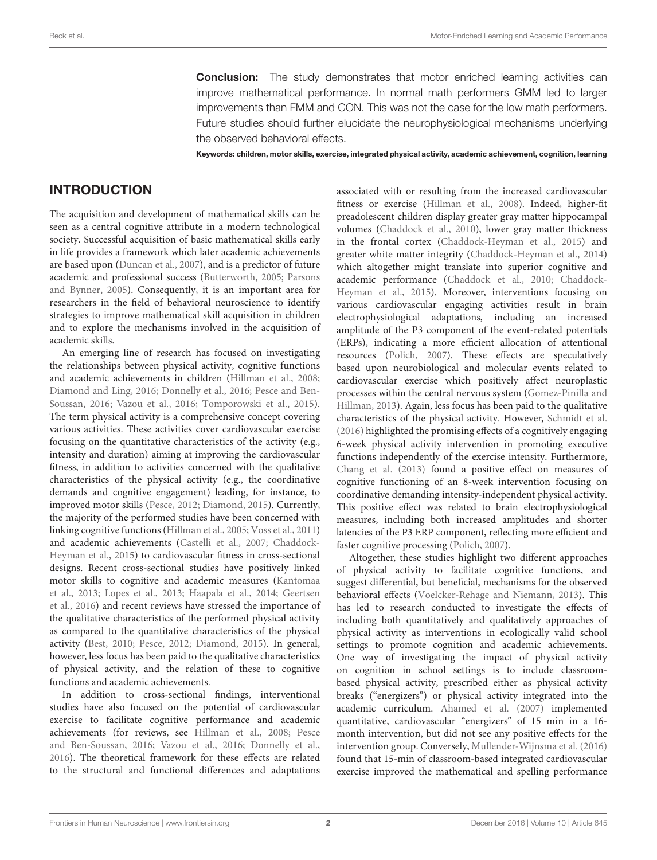**Conclusion:** The study demonstrates that motor enriched learning activities can improve mathematical performance. In normal math performers GMM led to larger improvements than FMM and CON. This was not the case for the low math performers. Future studies should further elucidate the neurophysiological mechanisms underlying the observed behavioral effects.

Keywords: children, motor skills, exercise, integrated physical activity, academic achievement, cognition, learning

## INTRODUCTION

The acquisition and development of mathematical skills can be seen as a central cognitive attribute in a modern technological society. Successful acquisition of basic mathematical skills early in life provides a framework which later academic achievements are based upon [\(Duncan et al., 2007\)](#page-12-0), and is a predictor of future academic and professional success [\(Butterworth, 2005;](#page-11-0) Parsons and Bynner, [2005\)](#page-12-1). Consequently, it is an important area for researchers in the field of behavioral neuroscience to identify strategies to improve mathematical skill acquisition in children and to explore the mechanisms involved in the acquisition of academic skills.

An emerging line of research has focused on investigating the relationships between physical activity, cognitive functions and academic achievements in children [\(Hillman et al., 2008;](#page-12-2) [Diamond and Ling, 2016;](#page-12-3) [Donnelly et al., 2016;](#page-12-4) Pesce and Ben-Soussan, [2016;](#page-12-5) [Vazou et al., 2016;](#page-13-0) [Tomporowski et al., 2015\)](#page-13-1). The term physical activity is a comprehensive concept covering various activities. These activities cover cardiovascular exercise focusing on the quantitative characteristics of the activity (e.g., intensity and duration) aiming at improving the cardiovascular fitness, in addition to activities concerned with the qualitative characteristics of the physical activity (e.g., the coordinative demands and cognitive engagement) leading, for instance, to improved motor skills [\(Pesce, 2012;](#page-12-6) [Diamond, 2015\)](#page-12-7). Currently, the majority of the performed studies have been concerned with linking cognitive functions [\(Hillman et al., 2005;](#page-12-8) [Voss et al., 2011\)](#page-13-2) and academic achievements [\(Castelli et al., 2007;](#page-11-1) Chaddock-Heyman et al., [2015\)](#page-11-2) to cardiovascular fitness in cross-sectional designs. Recent cross-sectional studies have positively linked motor skills to cognitive and academic measures (Kantomaa et al., [2013;](#page-12-9) [Lopes et al., 2013;](#page-12-10) [Haapala et al., 2014;](#page-12-11) Geertsen et al., [2016\)](#page-12-12) and recent reviews have stressed the importance of the qualitative characteristics of the performed physical activity as compared to the quantitative characteristics of the physical activity [\(Best, 2010;](#page-11-3) [Pesce, 2012;](#page-12-6) [Diamond, 2015\)](#page-12-7). In general, however, less focus has been paid to the qualitative characteristics of physical activity, and the relation of these to cognitive functions and academic achievements.

In addition to cross-sectional findings, interventional studies have also focused on the potential of cardiovascular exercise to facilitate cognitive performance and academic achievements (for reviews, see [Hillman et al., 2008;](#page-12-2) Pesce and Ben-Soussan, [2016;](#page-12-5) [Vazou et al., 2016;](#page-13-0) [Donnelly et al.,](#page-12-4) [2016\)](#page-12-4). The theoretical framework for these effects are related to the structural and functional differences and adaptations associated with or resulting from the increased cardiovascular fitness or exercise [\(Hillman et al., 2008\)](#page-12-2). Indeed, higher-fit preadolescent children display greater gray matter hippocampal volumes [\(Chaddock et al., 2010\)](#page-11-4), lower gray matter thickness in the frontal cortex [\(Chaddock-Heyman et al., 2015\)](#page-11-2) and greater white matter integrity [\(Chaddock-Heyman et al., 2014\)](#page-11-5) which altogether might translate into superior cognitive and academic performance [\(Chaddock et al., 2010;](#page-11-4) Chaddock-Heyman et al., [2015\)](#page-11-2). Moreover, interventions focusing on various cardiovascular engaging activities result in brain electrophysiological adaptations, including an increased amplitude of the P3 component of the event-related potentials (ERPs), indicating a more efficient allocation of attentional resources [\(Polich, 2007\)](#page-13-3). These effects are speculatively based upon neurobiological and molecular events related to cardiovascular exercise which positively affect neuroplastic processes within the central nervous system (Gomez-Pinilla and Hillman, [2013\)](#page-12-13). Again, less focus has been paid to the qualitative characteristics of the physical activity. However, [Schmidt et al.](#page-13-4) [\(2016\)](#page-13-4) highlighted the promising effects of a cognitively engaging 6-week physical activity intervention in promoting executive functions independently of the exercise intensity. Furthermore, [Chang et al. \(2013\)](#page-11-6) found a positive effect on measures of cognitive functioning of an 8-week intervention focusing on coordinative demanding intensity-independent physical activity. This positive effect was related to brain electrophysiological measures, including both increased amplitudes and shorter latencies of the P3 ERP component, reflecting more efficient and faster cognitive processing [\(Polich, 2007\)](#page-13-3).

Altogether, these studies highlight two different approaches of physical activity to facilitate cognitive functions, and suggest differential, but beneficial, mechanisms for the observed behavioral effects [\(Voelcker-Rehage and Niemann, 2013\)](#page-13-5). This has led to research conducted to investigate the effects of including both quantitatively and qualitatively approaches of physical activity as interventions in ecologically valid school settings to promote cognition and academic achievements. One way of investigating the impact of physical activity on cognition in school settings is to include classroombased physical activity, prescribed either as physical activity breaks ("energizers") or physical activity integrated into the academic curriculum. [Ahamed et al. \(2007\)](#page-11-7) implemented quantitative, cardiovascular "energizers" of 15 min in a 16 month intervention, but did not see any positive effects for the intervention group. Conversely, [Mullender-Wijnsma et al. \(2016\)](#page-12-14) found that 15-min of classroom-based integrated cardiovascular exercise improved the mathematical and spelling performance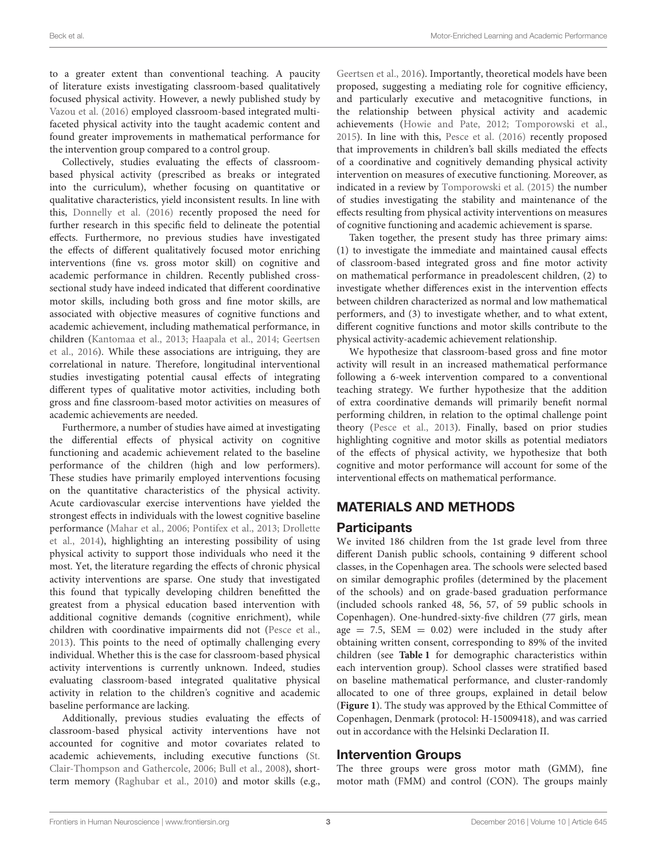to a greater extent than conventional teaching. A paucity of literature exists investigating classroom-based qualitatively focused physical activity. However, a newly published study by [Vazou et al. \(2016\)](#page-13-0) employed classroom-based integrated multifaceted physical activity into the taught academic content and found greater improvements in mathematical performance for the intervention group compared to a control group.

Collectively, studies evaluating the effects of classroombased physical activity (prescribed as breaks or integrated into the curriculum), whether focusing on quantitative or qualitative characteristics, yield inconsistent results. In line with this, [Donnelly et al. \(2016\)](#page-12-4) recently proposed the need for further research in this specific field to delineate the potential effects. Furthermore, no previous studies have investigated the effects of different qualitatively focused motor enriching interventions (fine vs. gross motor skill) on cognitive and academic performance in children. Recently published crosssectional study have indeed indicated that different coordinative motor skills, including both gross and fine motor skills, are associated with objective measures of cognitive functions and academic achievement, including mathematical performance, in children [\(Kantomaa et al., 2013;](#page-12-9) [Haapala et al., 2014;](#page-12-11) Geertsen et al., [2016\)](#page-12-12). While these associations are intriguing, they are correlational in nature. Therefore, longitudinal interventional studies investigating potential causal effects of integrating different types of qualitative motor activities, including both gross and fine classroom-based motor activities on measures of academic achievements are needed.

Furthermore, a number of studies have aimed at investigating the differential effects of physical activity on cognitive functioning and academic achievement related to the baseline performance of the children (high and low performers). These studies have primarily employed interventions focusing on the quantitative characteristics of the physical activity. Acute cardiovascular exercise interventions have yielded the strongest effects in individuals with the lowest cognitive baseline performance [\(Mahar et al., 2006;](#page-12-15) [Pontifex et al., 2013;](#page-13-6) Drollette et al., [2014\)](#page-12-16), highlighting an interesting possibility of using physical activity to support those individuals who need it the most. Yet, the literature regarding the effects of chronic physical activity interventions are sparse. One study that investigated this found that typically developing children benefitted the greatest from a physical education based intervention with additional cognitive demands (cognitive enrichment), while children with coordinative impairments did not [\(Pesce et al.,](#page-12-17) [2013\)](#page-12-17). This points to the need of optimally challenging every individual. Whether this is the case for classroom-based physical activity interventions is currently unknown. Indeed, studies evaluating classroom-based integrated qualitative physical activity in relation to the children's cognitive and academic baseline performance are lacking.

Additionally, previous studies evaluating the effects of classroom-based physical activity interventions have not accounted for cognitive and motor covariates related to academic achievements, including executive functions (St. Clair-Thompson and Gathercole, [2006;](#page-13-7) [Bull et al., 2008\)](#page-11-8), shortterm memory [\(Raghubar et al., 2010\)](#page-13-8) and motor skills (e.g., [Geertsen et al., 2016\)](#page-12-12). Importantly, theoretical models have been proposed, suggesting a mediating role for cognitive efficiency, and particularly executive and metacognitive functions, in the relationship between physical activity and academic achievements [\(Howie and Pate, 2012;](#page-12-18) [Tomporowski et al.,](#page-13-1) [2015\)](#page-13-1). In line with this, [Pesce et al. \(2016\)](#page-13-9) recently proposed that improvements in children's ball skills mediated the effects of a coordinative and cognitively demanding physical activity intervention on measures of executive functioning. Moreover, as indicated in a review by [Tomporowski et al. \(2015\)](#page-13-1) the number of studies investigating the stability and maintenance of the effects resulting from physical activity interventions on measures of cognitive functioning and academic achievement is sparse.

Taken together, the present study has three primary aims: (1) to investigate the immediate and maintained causal effects of classroom-based integrated gross and fine motor activity on mathematical performance in preadolescent children, (2) to investigate whether differences exist in the intervention effects between children characterized as normal and low mathematical performers, and (3) to investigate whether, and to what extent, different cognitive functions and motor skills contribute to the physical activity-academic achievement relationship.

We hypothesize that classroom-based gross and fine motor activity will result in an increased mathematical performance following a 6-week intervention compared to a conventional teaching strategy. We further hypothesize that the addition of extra coordinative demands will primarily benefit normal performing children, in relation to the optimal challenge point theory [\(Pesce et al., 2013\)](#page-12-17). Finally, based on prior studies highlighting cognitive and motor skills as potential mediators of the effects of physical activity, we hypothesize that both cognitive and motor performance will account for some of the interventional effects on mathematical performance.

# MATERIALS AND METHODS

## **Participants**

We invited 186 children from the 1st grade level from three different Danish public schools, containing 9 different school classes, in the Copenhagen area. The schools were selected based on similar demographic profiles (determined by the placement of the schools) and on grade-based graduation performance (included schools ranked 48, 56, 57, of 59 public schools in Copenhagen). One-hundred-sixty-five children (77 girls, mean age  $= 7.5$ , SEM  $= 0.02$ ) were included in the study after obtaining written consent, corresponding to 89% of the invited children (see **[Table 1](#page-3-0)** for demographic characteristics within each intervention group). School classes were stratified based on baseline mathematical performance, and cluster-randomly allocated to one of three groups, explained in detail below (**[Figure 1](#page-4-0)**). The study was approved by the Ethical Committee of Copenhagen, Denmark (protocol: H-15009418), and was carried out in accordance with the Helsinki Declaration II.

## Intervention Groups

The three groups were gross motor math (GMM), fine motor math (FMM) and control (CON). The groups mainly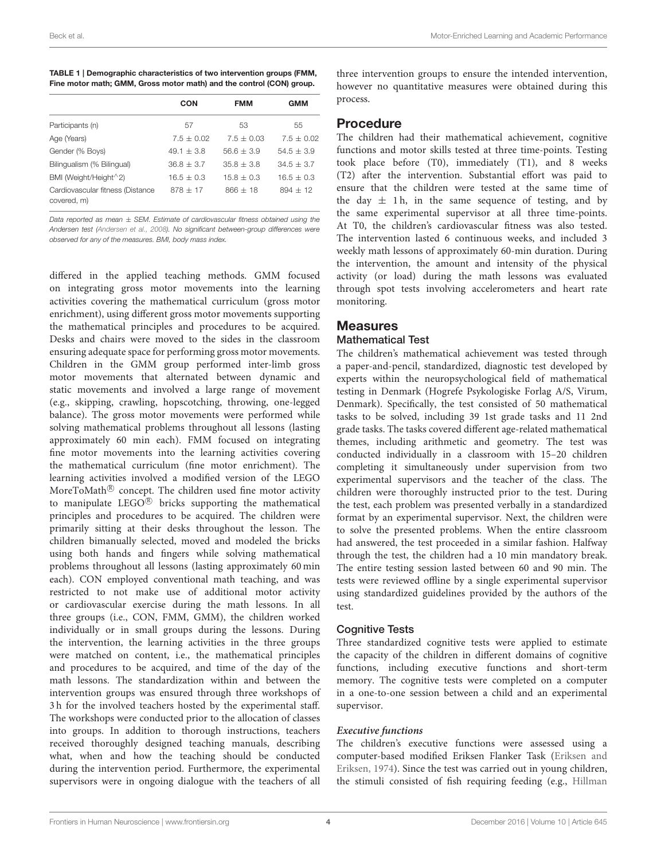<span id="page-3-0"></span>

| TABLE 1   Demographic characteristics of two intervention groups (FMM, |
|------------------------------------------------------------------------|
| Fine motor math; GMM, Gross motor math) and the control (CON) group.   |

|                                                 | CON          | <b>FMM</b>   | GMM          |
|-------------------------------------------------|--------------|--------------|--------------|
| Participants (n)                                | 57           | 53           | 55           |
| Age (Years)                                     | $7.5 + 0.02$ | $7.5 + 0.03$ | $7.5 + 0.02$ |
| Gender (% Boys)                                 | $49.1 + 3.8$ | $56.6 + 3.9$ | $54.5 + 3.9$ |
| Bilingualism (% Bilingual)                      | $36.8 + 3.7$ | $35.8 + 3.8$ | $34.5 + 3.7$ |
| BMI (Weight/Height $^2$ 2)                      | $16.5 + 0.3$ | $15.8 + 0.3$ | $16.5 + 0.3$ |
| Cardiovascular fitness (Distance<br>covered, m) | $878 + 17$   | $866 + 18$   | $894 + 12$   |

*Data reported as mean* ± *SEM. Estimate of cardiovascular fitness obtained using the Andersen test [\(Andersen et al., 2008\)](#page-11-9). No significant between-group differences were observed for any of the measures. BMI, body mass index.*

differed in the applied teaching methods. GMM focused on integrating gross motor movements into the learning activities covering the mathematical curriculum (gross motor enrichment), using different gross motor movements supporting the mathematical principles and procedures to be acquired. Desks and chairs were moved to the sides in the classroom ensuring adequate space for performing gross motor movements. Children in the GMM group performed inter-limb gross motor movements that alternated between dynamic and static movements and involved a large range of movement (e.g., skipping, crawling, hopscotching, throwing, one-legged balance). The gross motor movements were performed while solving mathematical problems throughout all lessons (lasting approximately 60 min each). FMM focused on integrating fine motor movements into the learning activities covering the mathematical curriculum (fine motor enrichment). The learning activities involved a modified version of the LEGO MoreToMath $^\circledR$  concept. The children used fine motor activity to manipulate  $LEGO^{\circledR}$  bricks supporting the mathematical principles and procedures to be acquired. The children were primarily sitting at their desks throughout the lesson. The children bimanually selected, moved and modeled the bricks using both hands and fingers while solving mathematical problems throughout all lessons (lasting approximately 60 min each). CON employed conventional math teaching, and was restricted to not make use of additional motor activity or cardiovascular exercise during the math lessons. In all three groups (i.e., CON, FMM, GMM), the children worked individually or in small groups during the lessons. During the intervention, the learning activities in the three groups were matched on content, i.e., the mathematical principles and procedures to be acquired, and time of the day of the math lessons. The standardization within and between the intervention groups was ensured through three workshops of 3 h for the involved teachers hosted by the experimental staff. The workshops were conducted prior to the allocation of classes into groups. In addition to thorough instructions, teachers received thoroughly designed teaching manuals, describing what, when and how the teaching should be conducted during the intervention period. Furthermore, the experimental supervisors were in ongoing dialogue with the teachers of all

three intervention groups to ensure the intended intervention, however no quantitative measures were obtained during this process.

## Procedure

The children had their mathematical achievement, cognitive functions and motor skills tested at three time-points. Testing took place before (T0), immediately (T1), and 8 weeks (T2) after the intervention. Substantial effort was paid to ensure that the children were tested at the same time of the day  $\pm$  1 h, in the same sequence of testing, and by the same experimental supervisor at all three time-points. At T0, the children's cardiovascular fitness was also tested. The intervention lasted 6 continuous weeks, and included 3 weekly math lessons of approximately 60-min duration. During the intervention, the amount and intensity of the physical activity (or load) during the math lessons was evaluated through spot tests involving accelerometers and heart rate monitoring.

## Measures

#### Mathematical Test

The children's mathematical achievement was tested through a paper-and-pencil, standardized, diagnostic test developed by experts within the neuropsychological field of mathematical testing in Denmark (Hogrefe Psykologiske Forlag A/S, Virum, Denmark). Specifically, the test consisted of 50 mathematical tasks to be solved, including 39 1st grade tasks and 11 2nd grade tasks. The tasks covered different age-related mathematical themes, including arithmetic and geometry. The test was conducted individually in a classroom with 15–20 children completing it simultaneously under supervision from two experimental supervisors and the teacher of the class. The children were thoroughly instructed prior to the test. During the test, each problem was presented verbally in a standardized format by an experimental supervisor. Next, the children were to solve the presented problems. When the entire classroom had answered, the test proceeded in a similar fashion. Halfway through the test, the children had a 10 min mandatory break. The entire testing session lasted between 60 and 90 min. The tests were reviewed offline by a single experimental supervisor using standardized guidelines provided by the authors of the test.

#### Cognitive Tests

Three standardized cognitive tests were applied to estimate the capacity of the children in different domains of cognitive functions, including executive functions and short-term memory. The cognitive tests were completed on a computer in a one-to-one session between a child and an experimental supervisor.

#### **Executive functions**

The children's executive functions were assessed using a computer-based modified Eriksen Flanker Task (Eriksen and Eriksen, [1974\)](#page-12-19). Since the test was carried out in young children, the stimuli consisted of fish requiring feeding (e.g., Hillman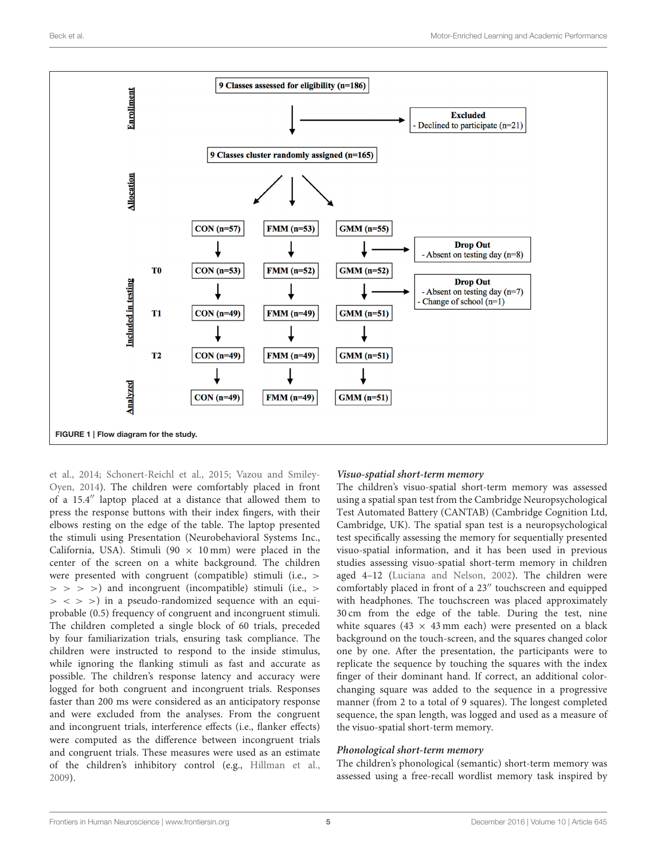

<span id="page-4-0"></span>et al., [2014;](#page-12-20) [Schonert-Reichl et al., 2015;](#page-13-10) Vazou and Smiley-Oyen, [2014\)](#page-13-11). The children were comfortably placed in front of a 15.4′′ laptop placed at a distance that allowed them to press the response buttons with their index fingers, with their elbows resting on the edge of the table. The laptop presented the stimuli using Presentation (Neurobehavioral Systems Inc., California, USA). Stimuli (90  $\times$  10 mm) were placed in the center of the screen on a white background. The children were presented with congruent (compatible) stimuli (i.e., >  $>$  > > >) and incongruent (incompatible) stimuli (i.e., >  $>$  < > >) in a pseudo-randomized sequence with an equiprobable (0.5) frequency of congruent and incongruent stimuli. The children completed a single block of 60 trials, preceded by four familiarization trials, ensuring task compliance. The children were instructed to respond to the inside stimulus, while ignoring the flanking stimuli as fast and accurate as possible. The children's response latency and accuracy were logged for both congruent and incongruent trials. Responses faster than 200 ms were considered as an anticipatory response and were excluded from the analyses. From the congruent and incongruent trials, interference effects (i.e., flanker effects) were computed as the difference between incongruent trials and congruent trials. These measures were used as an estimate of the children's inhibitory control (e.g., [Hillman et al.,](#page-12-21) [2009\)](#page-12-21).

#### **Visuo-spatial short-term memory**

The children's visuo-spatial short-term memory was assessed using a spatial span test from the Cambridge Neuropsychological Test Automated Battery (CANTAB) (Cambridge Cognition Ltd, Cambridge, UK). The spatial span test is a neuropsychological test specifically assessing the memory for sequentially presented visuo-spatial information, and it has been used in previous studies assessing visuo-spatial short-term memory in children aged 4–12 [\(Luciana and Nelson, 2002\)](#page-12-22). The children were comfortably placed in front of a 23′′ touchscreen and equipped with headphones. The touchscreen was placed approximately 30 cm from the edge of the table. During the test, nine white squares (43  $\times$  43 mm each) were presented on a black background on the touch-screen, and the squares changed color one by one. After the presentation, the participants were to replicate the sequence by touching the squares with the index finger of their dominant hand. If correct, an additional colorchanging square was added to the sequence in a progressive manner (from 2 to a total of 9 squares). The longest completed sequence, the span length, was logged and used as a measure of the visuo-spatial short-term memory.

#### **Phonological short-term memory**

The children's phonological (semantic) short-term memory was assessed using a free-recall wordlist memory task inspired by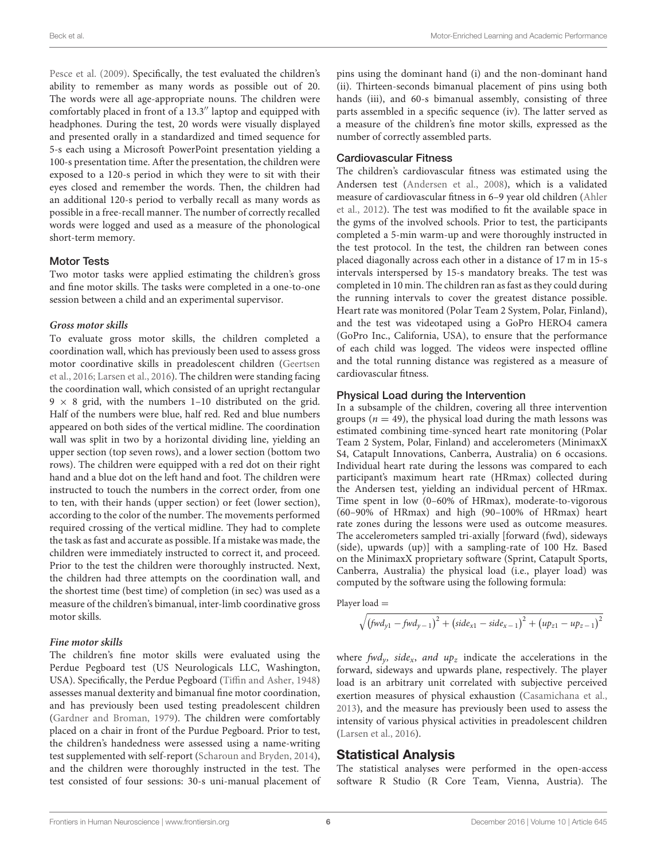[Pesce et al. \(2009\)](#page-12-23). Specifically, the test evaluated the children's ability to remember as many words as possible out of 20. The words were all age-appropriate nouns. The children were comfortably placed in front of a 13.3′′ laptop and equipped with headphones. During the test, 20 words were visually displayed and presented orally in a standardized and timed sequence for 5-s each using a Microsoft PowerPoint presentation yielding a 100-s presentation time. After the presentation, the children were exposed to a 120-s period in which they were to sit with their eyes closed and remember the words. Then, the children had an additional 120-s period to verbally recall as many words as possible in a free-recall manner. The number of correctly recalled words were logged and used as a measure of the phonological short-term memory.

#### Motor Tests

Two motor tasks were applied estimating the children's gross and fine motor skills. The tasks were completed in a one-to-one session between a child and an experimental supervisor.

#### **Gross motor skills**

To evaluate gross motor skills, the children completed a coordination wall, which has previously been used to assess gross motor coordinative skills in preadolescent children (Geertsen et al., [2016;](#page-12-12) [Larsen et al., 2016\)](#page-12-24). The children were standing facing the coordination wall, which consisted of an upright rectangular  $9 \times 8$  grid, with the numbers 1-10 distributed on the grid. Half of the numbers were blue, half red. Red and blue numbers appeared on both sides of the vertical midline. The coordination wall was split in two by a horizontal dividing line, yielding an upper section (top seven rows), and a lower section (bottom two rows). The children were equipped with a red dot on their right hand and a blue dot on the left hand and foot. The children were instructed to touch the numbers in the correct order, from one to ten, with their hands (upper section) or feet (lower section), according to the color of the number. The movements performed required crossing of the vertical midline. They had to complete the task as fast and accurate as possible. If a mistake was made, the children were immediately instructed to correct it, and proceed. Prior to the test the children were thoroughly instructed. Next, the children had three attempts on the coordination wall, and the shortest time (best time) of completion (in sec) was used as a measure of the children's bimanual, inter-limb coordinative gross motor skills.

#### **Fine motor skills**

The children's fine motor skills were evaluated using the Perdue Pegboard test (US Neurologicals LLC, Washington, USA). Specifically, the Perdue Pegboard [\(Tiffin and Asher, 1948\)](#page-13-12) assesses manual dexterity and bimanual fine motor coordination, and has previously been used testing preadolescent children [\(Gardner and Broman, 1979\)](#page-12-25). The children were comfortably placed on a chair in front of the Purdue Pegboard. Prior to test, the children's handedness were assessed using a name-writing test supplemented with self-report [\(Scharoun and Bryden, 2014\)](#page-13-13), and the children were thoroughly instructed in the test. The test consisted of four sessions: 30-s uni-manual placement of pins using the dominant hand (i) and the non-dominant hand (ii). Thirteen-seconds bimanual placement of pins using both hands (iii), and 60-s bimanual assembly, consisting of three parts assembled in a specific sequence (iv). The latter served as a measure of the children's fine motor skills, expressed as the number of correctly assembled parts.

#### Cardiovascular Fitness

The children's cardiovascular fitness was estimated using the Andersen test [\(Andersen et al., 2008\)](#page-11-9), which is a validated measure of cardiovascular fitness in 6–9 year old children (Ahler et al., [2012\)](#page-11-10). The test was modified to fit the available space in the gyms of the involved schools. Prior to test, the participants completed a 5-min warm-up and were thoroughly instructed in the test protocol. In the test, the children ran between cones placed diagonally across each other in a distance of 17 m in 15-s intervals interspersed by 15-s mandatory breaks. The test was completed in 10 min. The children ran as fast as they could during the running intervals to cover the greatest distance possible. Heart rate was monitored (Polar Team 2 System, Polar, Finland), and the test was videotaped using a GoPro HERO4 camera (GoPro Inc., California, USA), to ensure that the performance of each child was logged. The videos were inspected offline and the total running distance was registered as a measure of cardiovascular fitness.

#### Physical Load during the Intervention

In a subsample of the children, covering all three intervention groups ( $n = 49$ ), the physical load during the math lessons was estimated combining time-synced heart rate monitoring (Polar Team 2 System, Polar, Finland) and accelerometers (MinimaxX S4, Catapult Innovations, Canberra, Australia) on 6 occasions. Individual heart rate during the lessons was compared to each participant's maximum heart rate (HRmax) collected during the Andersen test, yielding an individual percent of HRmax. Time spent in low (0–60% of HRmax), moderate-to-vigorous (60–90% of HRmax) and high (90–100% of HRmax) heart rate zones during the lessons were used as outcome measures. The accelerometers sampled tri-axially [forward (fwd), sideways (side), upwards (up)] with a sampling-rate of 100 Hz. Based on the MinimaxX proprietary software (Sprint, Catapult Sports, Canberra, Australia) the physical load (i.e., player load) was computed by the software using the following formula:

Player load  $=$ 

$$
\sqrt{(fwd_{y1} - fwd_{y-1})^2 + (side_{x1} - side_{x-1})^2 + (up_{z1} - up_{z-1})^2}
$$

where fwd<sub>y</sub>, side<sub>x</sub>, and up<sub>z</sub> indicate the accelerations in the forward, sideways and upwards plane, respectively. The player load is an arbitrary unit correlated with subjective perceived exertion measures of physical exhaustion [\(Casamichana et al.,](#page-11-11) [2013\)](#page-11-11), and the measure has previously been used to assess the intensity of various physical activities in preadolescent children [\(Larsen et al., 2016\)](#page-12-24).

## Statistical Analysis

The statistical analyses were performed in the open-access software R Studio (R Core Team, Vienna, Austria). The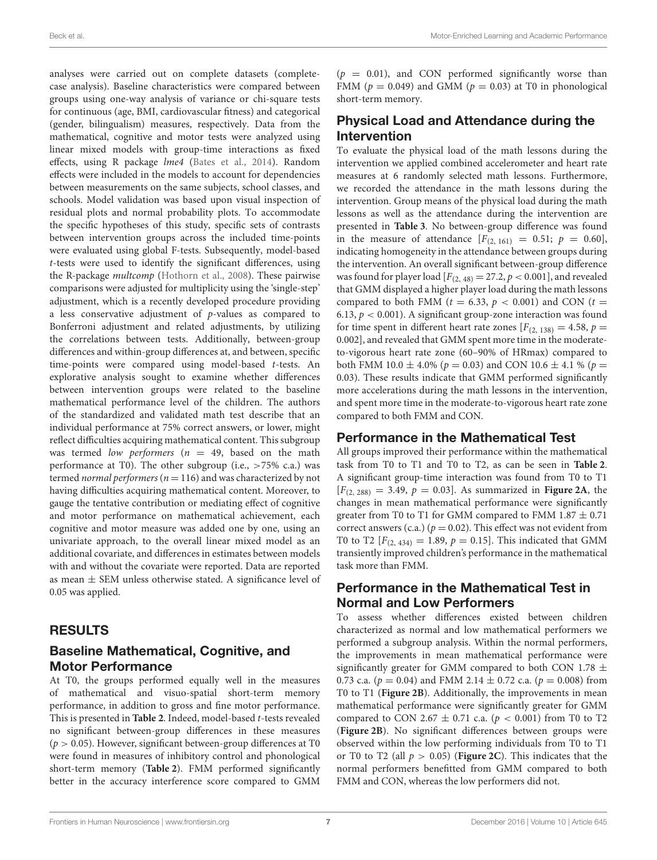analyses were carried out on complete datasets (completecase analysis). Baseline characteristics were compared between groups using one-way analysis of variance or chi-square tests for continuous (age, BMI, cardiovascular fitness) and categorical (gender, bilingualism) measures, respectively. Data from the mathematical, cognitive and motor tests were analyzed using linear mixed models with group-time interactions as fixed effects, using R package lme4 [\(Bates et al., 2014\)](#page-11-12). Random effects were included in the models to account for dependencies between measurements on the same subjects, school classes, and schools. Model validation was based upon visual inspection of residual plots and normal probability plots. To accommodate the specific hypotheses of this study, specific sets of contrasts between intervention groups across the included time-points were evaluated using global F-tests. Subsequently, model-based t-tests were used to identify the significant differences, using the R-package multcomp [\(Hothorn et al., 2008\)](#page-12-26). These pairwise comparisons were adjusted for multiplicity using the 'single-step' adjustment, which is a recently developed procedure providing a less conservative adjustment of p-values as compared to Bonferroni adjustment and related adjustments, by utilizing the correlations between tests. Additionally, between-group differences and within-group differences at, and between, specific time-points were compared using model-based t-tests. An explorative analysis sought to examine whether differences between intervention groups were related to the baseline mathematical performance level of the children. The authors of the standardized and validated math test describe that an individual performance at 75% correct answers, or lower, might reflect difficulties acquiring mathematical content. This subgroup was termed low performers ( $n = 49$ , based on the math performance at T0). The other subgroup (i.e.,  $>75\%$  c.a.) was termed normal performers ( $n = 116$ ) and was characterized by not having difficulties acquiring mathematical content. Moreover, to gauge the tentative contribution or mediating effect of cognitive and motor performance on mathematical achievement, each cognitive and motor measure was added one by one, using an univariate approach, to the overall linear mixed model as an additional covariate, and differences in estimates between models with and without the covariate were reported. Data are reported as mean ± SEM unless otherwise stated. A significance level of 0.05 was applied.

# RESULTS

# Baseline Mathematical, Cognitive, and Motor Performance

At T0, the groups performed equally well in the measures of mathematical and visuo-spatial short-term memory performance, in addition to gross and fine motor performance. This is presented in **[Table 2](#page-7-0)**. Indeed, model-based t-tests revealed no significant between-group differences in these measures  $(p > 0.05)$ . However, significant between-group differences at T0 were found in measures of inhibitory control and phonological short-term memory (**[Table 2](#page-7-0)**). FMM performed significantly better in the accuracy interference score compared to GMM  $(p = 0.01)$ , and CON performed significantly worse than FMM ( $p = 0.049$ ) and GMM ( $p = 0.03$ ) at T0 in phonological short-term memory.

# Physical Load and Attendance during the Intervention

To evaluate the physical load of the math lessons during the intervention we applied combined accelerometer and heart rate measures at 6 randomly selected math lessons. Furthermore, we recorded the attendance in the math lessons during the intervention. Group means of the physical load during the math lessons as well as the attendance during the intervention are presented in **[Table 3](#page-8-0)**. No between-group difference was found in the measure of attendance  $[F_{(2, 161)} = 0.51; p = 0.60]$ , indicating homogeneity in the attendance between groups during the intervention. An overall significant between-group difference was found for player load  $[F_{(2, 48)} = 27.2, p < 0.001]$ , and revealed that GMM displayed a higher player load during the math lessons compared to both FMM ( $t = 6.33$ ,  $p < 0.001$ ) and CON ( $t =$ 6.13,  $p < 0.001$ ). A significant group-zone interaction was found for time spent in different heart rate zones  $[F_{(2, 138)} = 4.58, p =$ 0.002], and revealed that GMM spent more time in the moderateto-vigorous heart rate zone (60–90% of HRmax) compared to both FMM 10.0  $\pm$  4.0% ( $p = 0.03$ ) and CON 10.6  $\pm$  4.1 % ( $p =$ 0.03). These results indicate that GMM performed significantly more accelerations during the math lessons in the intervention, and spent more time in the moderate-to-vigorous heart rate zone compared to both FMM and CON.

# Performance in the Mathematical Test

All groups improved their performance within the mathematical task from T0 to T1 and T0 to T2, as can be seen in **[Table 2](#page-7-0)**. A significant group-time interaction was found from T0 to T1  $[F_{(2, 288)} = 3.49, p = 0.03]$ . As summarized in **[Figure 2A](#page-9-0)**, the changes in mean mathematical performance were significantly greater from T0 to T1 for GMM compared to FMM  $1.87 \pm 0.71$ correct answers (c.a.) ( $p = 0.02$ ). This effect was not evident from T0 to T2  $[F_{(2, 434)} = 1.89, p = 0.15]$ . This indicated that GMM transiently improved children's performance in the mathematical task more than FMM.

# Performance in the Mathematical Test in Normal and Low Performers

To assess whether differences existed between children characterized as normal and low mathematical performers we performed a subgroup analysis. Within the normal performers, the improvements in mean mathematical performance were significantly greater for GMM compared to both CON 1.78  $\pm$ 0.73 c.a. ( $p = 0.04$ ) and FMM 2.14  $\pm$  0.72 c.a. ( $p = 0.008$ ) from T0 to T1 (**[Figure 2B](#page-9-0)**). Additionally, the improvements in mean mathematical performance were significantly greater for GMM compared to CON 2.67  $\pm$  0.71 c.a. ( $p < 0.001$ ) from T0 to T2 (**[Figure 2B](#page-9-0)**). No significant differences between groups were observed within the low performing individuals from T0 to T1 or T0 to T2 (all  $p > 0.05$ ) (**[Figure 2C](#page-9-0)**). This indicates that the normal performers benefitted from GMM compared to both FMM and CON, whereas the low performers did not.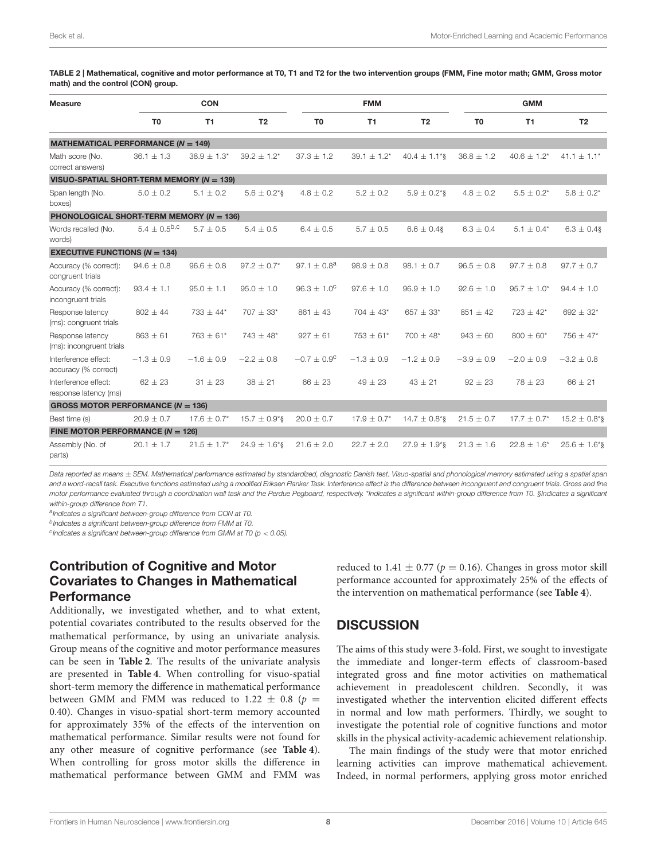<span id="page-7-0"></span>TABLE 2 | Mathematical, cognitive and motor performance at T0, T1 and T2 for the two intervention groups (FMM, Fine motor math; GMM, Gross motor math) and the control (CON) group.

| <b>Measure</b>                                               | <b>CON</b>        |                             |                               | <b>FMM</b>                  |                  |                               | <b>GMM</b>     |                  |                   |
|--------------------------------------------------------------|-------------------|-----------------------------|-------------------------------|-----------------------------|------------------|-------------------------------|----------------|------------------|-------------------|
|                                                              | T <sub>0</sub>    | T1                          | T <sub>2</sub>                | T <sub>0</sub>              | T1               | T <sub>2</sub>                | T <sub>0</sub> | <b>T1</b>        | T <sub>2</sub>    |
| <b>MATHEMATICAL PERFORMANCE (<math>N = 149</math>)</b>       |                   |                             |                               |                             |                  |                               |                |                  |                   |
| Math score (No.<br>correct answers)                          | $36.1 \pm 1.3$    | $38.9 \pm 1.3^*$            | $39.2 \pm 1.2^*$              | $37.3 \pm 1.2$              | $39.1 \pm 1.2^*$ | $40.4 \pm 1.1$ <sup>*</sup> § | $36.8 \pm 1.2$ | $40.6 \pm 1.2^*$ | $41.1 \pm 1.1^*$  |
| VISUO-SPATIAL SHORT-TERM MEMORY ( $N = 139$ )                |                   |                             |                               |                             |                  |                               |                |                  |                   |
| Span length (No.<br>boxes)                                   | $5.0 \pm 0.2$     | $5.1 \pm 0.2$               | $5.6 \pm 0.2$ *§              | $4.8 \pm 0.2$               | $5.2 \pm 0.2$    | $5.9 \pm 0.2$ <sup>*</sup> §  | $4.8 \pm 0.2$  | $5.5 \pm 0.2^*$  | $5.8 \pm 0.2^*$   |
| <b>PHONOLOGICAL SHORT-TERM MEMORY (<math>N = 136</math>)</b> |                   |                             |                               |                             |                  |                               |                |                  |                   |
| Words recalled (No.<br>words)                                | $5.4 + 0.5^{b,c}$ | $5.7 + 0.5$                 | $5.4 \pm 0.5$                 | $6.4 \pm 0.5$               | $5.7 \pm 0.5$    | $6.6 \pm 0.4$ §               | $6.3 \pm 0.4$  | $5.1 \pm 0.4^*$  | $6.3 \pm 0.4$ §   |
| <b>EXECUTIVE FUNCTIONS (<math>N = 134</math>)</b>            |                   |                             |                               |                             |                  |                               |                |                  |                   |
| Accuracy (% correct):<br>congruent trials                    | $94.6 \pm 0.8$    | $96.6 \pm 0.8$              | $97.2 \pm 0.7^*$              | 97.1 $\pm$ 0.8 <sup>a</sup> | $98.9 \pm 0.8$   | $98.1 \pm 0.7$                | $96.5 \pm 0.8$ | $97.7 \pm 0.8$   | $97.7 \pm 0.7$    |
| Accuracy (% correct):<br>incongruent trials                  | $93.4 \pm 1.1$    | $95.0 \pm 1.1$              | $95.0 \pm 1.0$                | $96.3 \pm 1.0^{\circ}$      | $97.6 \pm 1.0$   | $96.9 \pm 1.0$                | $92.6 \pm 1.0$ | $95.7 \pm 1.0^*$ | $94.4 \pm 1.0$    |
| Response latency<br>(ms): congruent trials                   | $802 \pm 44$      | $733 \pm 44*$               | $707 \pm 33*$                 | $861 \pm 43$                | $704 \pm 43*$    | $657 \pm 33*$                 | $851 \pm 42$   | $723 \pm 42*$    | $692 \pm 32*$     |
| Response latency<br>(ms): incongruent trials                 | $863 \pm 61$      | $763 \pm 61*$               | $743 \pm 48$ *                | $927 \pm 61$                | $753 \pm 61*$    | $700 \pm 48$ *                | $943 \pm 60$   | $800 \pm 60*$    | $756 \pm 47$ *    |
| Interference effect:<br>accuracy (% correct)                 | $-1.3 \pm 0.9$    | $-1.6 \pm 0.9$              | $-2.2 \pm 0.8$                | $-0.7 \pm 0.9^{\circ}$      | $-1.3 \pm 0.9$   | $-1.2 \pm 0.9$                | $-3.9 \pm 0.9$ | $-2.0 \pm 0.9$   | $-3.2 \pm 0.8$    |
| Interference effect:<br>response latency (ms)                | $62 \pm 23$       | $31 \pm 23$                 | $38 \pm 21$                   | $66 \pm 23$                 | $49 \pm 23$      | $43 \pm 21$                   | $92 \pm 23$    | $78 \pm 23$      | $66 \pm 21$       |
| GROSS MOTOR PERFORMANCE ( $N = 136$ )                        |                   |                             |                               |                             |                  |                               |                |                  |                   |
| Best time (s)                                                | $20.9 \pm 0.7$    | $17.6 \pm 0.7^*$            | $15.7 \pm 0.9$ *§             | $20.0 \pm 0.7$              | $17.9 \pm 0.7^*$ | $14.7 \pm 0.8$ <sup>*</sup> § | $21.5 \pm 0.7$ | $17.7 \pm 0.7^*$ | $15.2 \pm 0.8$ *§ |
| FINE MOTOR PERFORMANCE ( $N = 126$ )                         |                   |                             |                               |                             |                  |                               |                |                  |                   |
| Assembly (No. of<br>parts)                                   | $20.1 \pm 1.7$    | $21.5 \pm 1.7$ <sup>*</sup> | $24.9 \pm 1.6$ <sup>*</sup> § | $21.6 \pm 2.0$              | $22.7 \pm 2.0$   | $27.9 \pm 1.9$ <sup>*</sup> § | $21.3 \pm 1.6$ | $22.8 \pm 1.6^*$ | $25.6 \pm 1.6$ *§ |

*Data reported as means* ± *SEM. Mathematical performance estimated by standardized, diagnostic Danish test. Visuo-spatial and phonological memory estimated using a spatial span and a word-recall task. Executive functions estimated using a modified Eriksen Flanker Task. Interference effect is the difference between incongruent and congruent trials. Gross and fine motor performance evaluated through a coordination wall task and the Perdue Pegboard, respectively.* \**Indicates a significant within-group difference from T0. §Indicates a significant within-group difference from T1.*

*a Indicates a significant between-group difference from CON at T0.*

*b Indicates a significant between-group difference from FMM at T0.*

*c Indicates a significant between-group difference from GMM at T0 (p* < *0.05).*

# Contribution of Cognitive and Motor Covariates to Changes in Mathematical Performance

Additionally, we investigated whether, and to what extent, potential covariates contributed to the results observed for the mathematical performance, by using an univariate analysis. Group means of the cognitive and motor performance measures can be seen in **[Table 2](#page-7-0)**. The results of the univariate analysis are presented in **[Table 4](#page-9-1)**. When controlling for visuo-spatial short-term memory the difference in mathematical performance between GMM and FMM was reduced to 1.22  $\pm$  0.8 (p = 0.40). Changes in visuo-spatial short-term memory accounted for approximately 35% of the effects of the intervention on mathematical performance. Similar results were not found for any other measure of cognitive performance (see **[Table 4](#page-9-1)**). When controlling for gross motor skills the difference in mathematical performance between GMM and FMM was reduced to 1.41  $\pm$  0.77 ( $p = 0.16$ ). Changes in gross motor skill performance accounted for approximately 25% of the effects of the intervention on mathematical performance (see **[Table 4](#page-9-1)**).

# **DISCUSSION**

The aims of this study were 3-fold. First, we sought to investigate the immediate and longer-term effects of classroom-based integrated gross and fine motor activities on mathematical achievement in preadolescent children. Secondly, it was investigated whether the intervention elicited different effects in normal and low math performers. Thirdly, we sought to investigate the potential role of cognitive functions and motor skills in the physical activity-academic achievement relationship.

The main findings of the study were that motor enriched learning activities can improve mathematical achievement. Indeed, in normal performers, applying gross motor enriched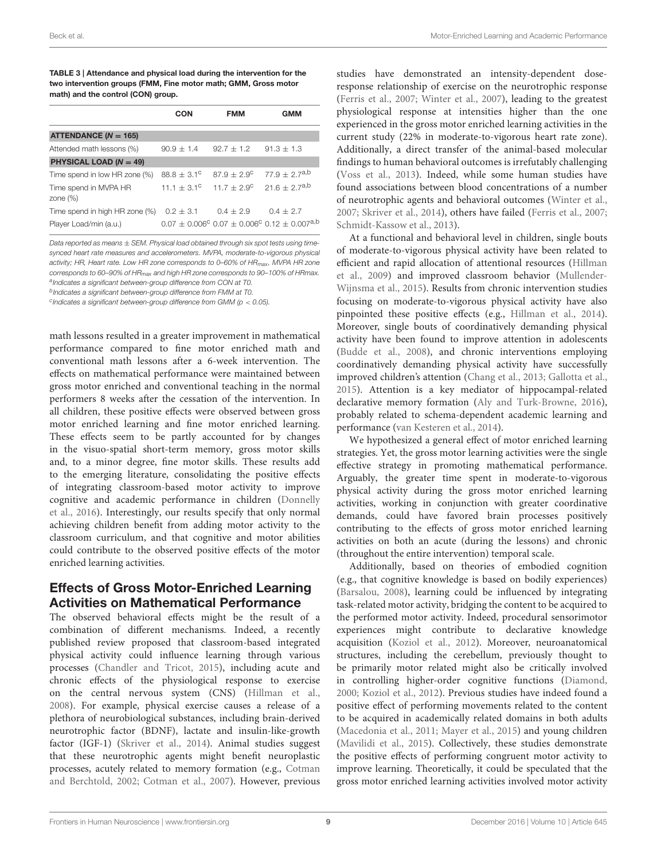<span id="page-8-0"></span>TABLE 3 | Attendance and physical load during the intervention for the two intervention groups (FMM, Fine motor math; GMM, Gross motor math) and the control (CON) group.

|                                            | CON                         | <b>FMM</b>             | <b>GMM</b>                                                                 |
|--------------------------------------------|-----------------------------|------------------------|----------------------------------------------------------------------------|
| ATTENDANCE ( $N = 165$ )                   |                             |                        |                                                                            |
| Attended math lessons (%)                  | $90.9 \pm 1.4$              | $92.7 + 1.2$           | $91.3 + 1.3$                                                               |
| <b>PHYSICAL LOAD (<math>N = 49</math>)</b> |                             |                        |                                                                            |
| Time spend in low HR zone (%)              | $88.8 + 3.1^{\circ}$        | $87.9 + 2.9^{\circ}$   | $77.9 \pm 2.7^{a,b}$                                                       |
| Time spend in MVPA HR<br>zone $(\%)$       | 11.1 $\pm$ 3.1 <sup>c</sup> | $11.7 \pm 2.9^{\circ}$ | $21.6 \pm 2.7^{a,b}$                                                       |
| Time spend in high HR zone (%)             | $0.2 + 3.1$                 | $0.4 \pm 2.9$          | $0.4 + 2.7$                                                                |
| Player Load/min (a.u.)                     |                             |                        | $0.07 \pm 0.006^{\circ}$ 0.07 $\pm$ 0.006° 0.12 $\pm$ 0.007 <sup>a,b</sup> |

*Data reported as means* ± *SEM. Physical load obtained through six spot tests using timesynced heart rate measures and accelerometers. MVPA, moderate-to-vigorous physical activity; HR, Heart rate. Low HR zone corresponds to 0–60% of HRmax , MVPA HR zone corresponds to 60–90% of HRmax and high HR zone corresponds to 90–100% of HRmax. a Indicates a significant between-group difference from CON at T0.*

*b Indicates a significant between-group difference from FMM at T0.*

*c Indicates a significant between-group difference from GMM (p* < *0.05).*

math lessons resulted in a greater improvement in mathematical performance compared to fine motor enriched math and conventional math lessons after a 6-week intervention. The effects on mathematical performance were maintained between gross motor enriched and conventional teaching in the normal performers 8 weeks after the cessation of the intervention. In all children, these positive effects were observed between gross motor enriched learning and fine motor enriched learning. These effects seem to be partly accounted for by changes in the visuo-spatial short-term memory, gross motor skills and, to a minor degree, fine motor skills. These results add to the emerging literature, consolidating the positive effects of integrating classroom-based motor activity to improve cognitive and academic performance in children (Donnelly et al., [2016\)](#page-12-4). Interestingly, our results specify that only normal achieving children benefit from adding motor activity to the classroom curriculum, and that cognitive and motor abilities could contribute to the observed positive effects of the motor enriched learning activities.

# Effects of Gross Motor-Enriched Learning Activities on Mathematical Performance

The observed behavioral effects might be the result of a combination of different mechanisms. Indeed, a recently published review proposed that classroom-based integrated physical activity could influence learning through various processes [\(Chandler and Tricot, 2015\)](#page-11-13), including acute and chronic effects of the physiological response to exercise on the central nervous system (CNS) [\(Hillman et al.,](#page-12-2) [2008\)](#page-12-2). For example, physical exercise causes a release of a plethora of neurobiological substances, including brain-derived neurotrophic factor (BDNF), lactate and insulin-like-growth factor (IGF-1) [\(Skriver et al., 2014\)](#page-13-14). Animal studies suggest that these neurotrophic agents might benefit neuroplastic processes, acutely related to memory formation (e.g., Cotman and Berchtold, [2002;](#page-11-14) [Cotman et al., 2007\)](#page-12-27). However, previous studies have demonstrated an intensity-dependent doseresponse relationship of exercise on the neurotrophic response [\(Ferris et al., 2007;](#page-12-28) [Winter et al., 2007\)](#page-13-15), leading to the greatest physiological response at intensities higher than the one experienced in the gross motor enriched learning activities in the current study (22% in moderate-to-vigorous heart rate zone). Additionally, a direct transfer of the animal-based molecular findings to human behavioral outcomes is irrefutably challenging [\(Voss et al., 2013\)](#page-13-16). Indeed, while some human studies have found associations between blood concentrations of a number of neurotrophic agents and behavioral outcomes [\(Winter et al.,](#page-13-15) [2007;](#page-13-15) [Skriver et al., 2014\)](#page-13-14), others have failed [\(Ferris et al., 2007;](#page-12-28) [Schmidt-Kassow et al., 2013\)](#page-13-17).

At a functional and behavioral level in children, single bouts of moderate-to-vigorous physical activity have been related to efficient and rapid allocation of attentional resources (Hillman et al., [2009\)](#page-12-21) and improved classroom behavior (Mullender-Wijnsma et al., [2015\)](#page-12-29). Results from chronic intervention studies focusing on moderate-to-vigorous physical activity have also pinpointed these positive effects (e.g., [Hillman et al., 2014\)](#page-12-20). Moreover, single bouts of coordinatively demanding physical activity have been found to improve attention in adolescents [\(Budde et al., 2008\)](#page-11-15), and chronic interventions employing coordinatively demanding physical activity have successfully improved children's attention [\(Chang et al., 2013;](#page-11-6) [Gallotta et al.,](#page-12-30) [2015\)](#page-12-30). Attention is a key mediator of hippocampal-related declarative memory formation [\(Aly and Turk-Browne, 2016\)](#page-11-16), probably related to schema-dependent academic learning and performance [\(van Kesteren et al., 2014\)](#page-13-18).

We hypothesized a general effect of motor enriched learning strategies. Yet, the gross motor learning activities were the single effective strategy in promoting mathematical performance. Arguably, the greater time spent in moderate-to-vigorous physical activity during the gross motor enriched learning activities, working in conjunction with greater coordinative demands, could have favored brain processes positively contributing to the effects of gross motor enriched learning activities on both an acute (during the lessons) and chronic (throughout the entire intervention) temporal scale.

Additionally, based on theories of embodied cognition (e.g., that cognitive knowledge is based on bodily experiences) [\(Barsalou, 2008\)](#page-11-17), learning could be influenced by integrating task-related motor activity, bridging the content to be acquired to the performed motor activity. Indeed, procedural sensorimotor experiences might contribute to declarative knowledge acquisition [\(Koziol et al., 2012\)](#page-12-31). Moreover, neuroanatomical structures, including the cerebellum, previously thought to be primarily motor related might also be critically involved in controlling higher-order cognitive functions [\(Diamond,](#page-12-32) [2000;](#page-12-32) [Koziol et al., 2012\)](#page-12-31). Previous studies have indeed found a positive effect of performing movements related to the content to be acquired in academically related domains in both adults [\(Macedonia et al., 2011;](#page-12-33) [Mayer et al., 2015\)](#page-12-34) and young children [\(Mavilidi et al., 2015\)](#page-12-35). Collectively, these studies demonstrate the positive effects of performing congruent motor activity to improve learning. Theoretically, it could be speculated that the gross motor enriched learning activities involved motor activity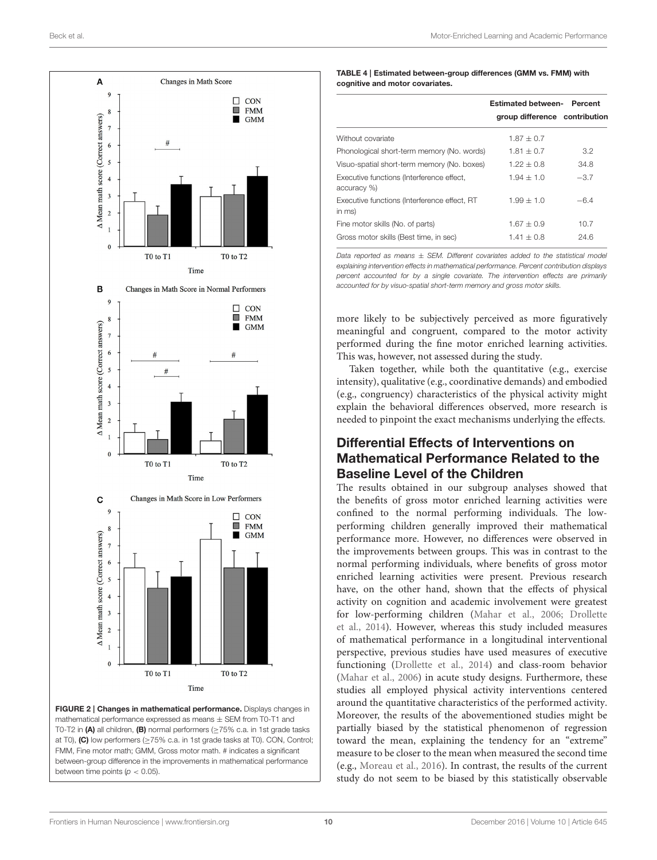

<span id="page-9-0"></span>

<span id="page-9-1"></span>

| TABLE 4   Estimated between-group differences (GMM vs. FMM) with |
|------------------------------------------------------------------|
| cognitive and motor covariates.                                  |

|                                                          | <b>Estimated between- Percent</b> |        |  |
|----------------------------------------------------------|-----------------------------------|--------|--|
|                                                          | group difference contribution     |        |  |
| Without covariate                                        | $1.87 + 0.7$                      |        |  |
| Phonological short-term memory (No. words)               | $1.81 + 0.7$                      | 3.2    |  |
| Visuo-spatial short-term memory (No. boxes)              | $1.22 + 0.8$                      | 34.8   |  |
| Executive functions (Interference effect,<br>accuracy %) | $1.94 + 1.0$                      | $-3.7$ |  |
| Executive functions (Interference effect, RT<br>in ms)   | $1.99 + 1.0$                      | $-6.4$ |  |
| Fine motor skills (No. of parts)                         | $1.67 + 0.9$                      | 10.7   |  |
| Gross motor skills (Best time, in sec)                   | $1.41 + 0.8$                      | 24.6   |  |

*Data reported as means* ± *SEM. Different covariates added to the statistical model explaining intervention effects in mathematical performance. Percent contribution displays percent accounted for by a single covariate. The intervention effects are primarily accounted for by visuo-spatial short-term memory and gross motor skills.*

more likely to be subjectively perceived as more figuratively meaningful and congruent, compared to the motor activity performed during the fine motor enriched learning activities. This was, however, not assessed during the study.

Taken together, while both the quantitative (e.g., exercise intensity), qualitative (e.g., coordinative demands) and embodied (e.g., congruency) characteristics of the physical activity might explain the behavioral differences observed, more research is needed to pinpoint the exact mechanisms underlying the effects.

# Differential Effects of Interventions on Mathematical Performance Related to the Baseline Level of the Children

The results obtained in our subgroup analyses showed that the benefits of gross motor enriched learning activities were confined to the normal performing individuals. The lowperforming children generally improved their mathematical performance more. However, no differences were observed in the improvements between groups. This was in contrast to the normal performing individuals, where benefits of gross motor enriched learning activities were present. Previous research have, on the other hand, shown that the effects of physical activity on cognition and academic involvement were greatest for low-performing children [\(Mahar et al., 2006;](#page-12-15) Drollette et al., [2014\)](#page-12-16). However, whereas this study included measures of mathematical performance in a longitudinal interventional perspective, previous studies have used measures of executive functioning [\(Drollette et al., 2014\)](#page-12-16) and class-room behavior [\(Mahar et al., 2006\)](#page-12-15) in acute study designs. Furthermore, these studies all employed physical activity interventions centered around the quantitative characteristics of the performed activity. Moreover, the results of the abovementioned studies might be partially biased by the statistical phenomenon of regression toward the mean, explaining the tendency for an "extreme" measure to be closer to the mean when measured the second time (e.g., [Moreau et al., 2016\)](#page-12-36). In contrast, the results of the current study do not seem to be biased by this statistically observable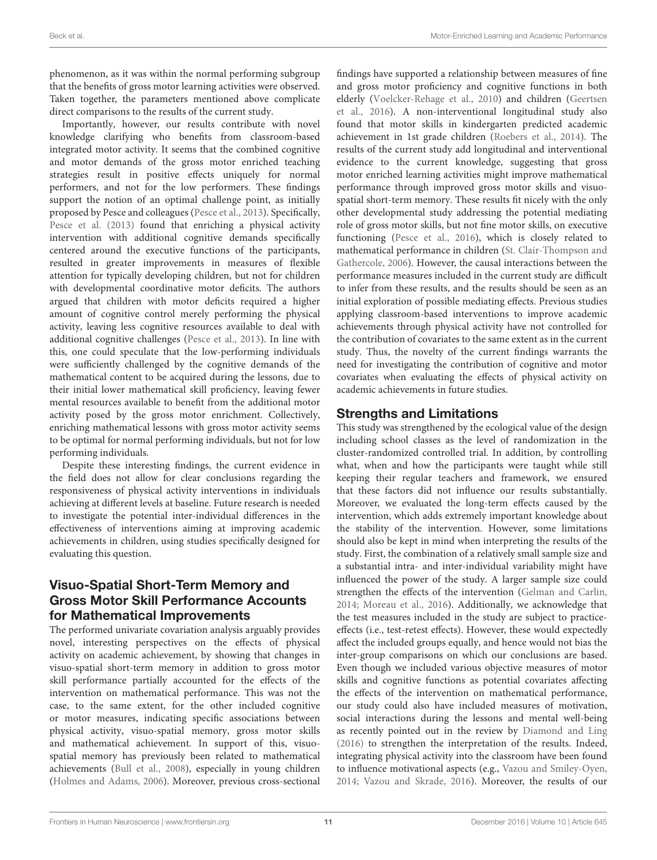phenomenon, as it was within the normal performing subgroup that the benefits of gross motor learning activities were observed. Taken together, the parameters mentioned above complicate direct comparisons to the results of the current study.

Importantly, however, our results contribute with novel knowledge clarifying who benefits from classroom-based integrated motor activity. It seems that the combined cognitive and motor demands of the gross motor enriched teaching strategies result in positive effects uniquely for normal performers, and not for the low performers. These findings support the notion of an optimal challenge point, as initially proposed by Pesce and colleagues [\(Pesce et al., 2013\)](#page-12-17). Specifically, [Pesce et al. \(2013\)](#page-12-17) found that enriching a physical activity intervention with additional cognitive demands specifically centered around the executive functions of the participants, resulted in greater improvements in measures of flexible attention for typically developing children, but not for children with developmental coordinative motor deficits. The authors argued that children with motor deficits required a higher amount of cognitive control merely performing the physical activity, leaving less cognitive resources available to deal with additional cognitive challenges [\(Pesce et al., 2013\)](#page-12-17). In line with this, one could speculate that the low-performing individuals were sufficiently challenged by the cognitive demands of the mathematical content to be acquired during the lessons, due to their initial lower mathematical skill proficiency, leaving fewer mental resources available to benefit from the additional motor activity posed by the gross motor enrichment. Collectively, enriching mathematical lessons with gross motor activity seems to be optimal for normal performing individuals, but not for low performing individuals.

Despite these interesting findings, the current evidence in the field does not allow for clear conclusions regarding the responsiveness of physical activity interventions in individuals achieving at different levels at baseline. Future research is needed to investigate the potential inter-individual differences in the effectiveness of interventions aiming at improving academic achievements in children, using studies specifically designed for evaluating this question.

# Visuo-Spatial Short-Term Memory and Gross Motor Skill Performance Accounts for Mathematical Improvements

The performed univariate covariation analysis arguably provides novel, interesting perspectives on the effects of physical activity on academic achievement, by showing that changes in visuo-spatial short-term memory in addition to gross motor skill performance partially accounted for the effects of the intervention on mathematical performance. This was not the case, to the same extent, for the other included cognitive or motor measures, indicating specific associations between physical activity, visuo-spatial memory, gross motor skills and mathematical achievement. In support of this, visuospatial memory has previously been related to mathematical achievements [\(Bull et al., 2008\)](#page-11-8), especially in young children [\(Holmes and Adams, 2006\)](#page-12-37). Moreover, previous cross-sectional findings have supported a relationship between measures of fine and gross motor proficiency and cognitive functions in both elderly [\(Voelcker-Rehage et al., 2010\)](#page-13-19) and children (Geertsen et al., [2016\)](#page-12-12). A non-interventional longitudinal study also found that motor skills in kindergarten predicted academic achievement in 1st grade children [\(Roebers et al., 2014\)](#page-13-20). The results of the current study add longitudinal and interventional evidence to the current knowledge, suggesting that gross motor enriched learning activities might improve mathematical performance through improved gross motor skills and visuospatial short-term memory. These results fit nicely with the only other developmental study addressing the potential mediating role of gross motor skills, but not fine motor skills, on executive functioning [\(Pesce et al., 2016\)](#page-13-9), which is closely related to mathematical performance in children (St. Clair-Thompson and Gathercole, [2006\)](#page-13-7). However, the causal interactions between the performance measures included in the current study are difficult to infer from these results, and the results should be seen as an initial exploration of possible mediating effects. Previous studies applying classroom-based interventions to improve academic achievements through physical activity have not controlled for the contribution of covariates to the same extent as in the current study. Thus, the novelty of the current findings warrants the need for investigating the contribution of cognitive and motor covariates when evaluating the effects of physical activity on academic achievements in future studies.

# Strengths and Limitations

This study was strengthened by the ecological value of the design including school classes as the level of randomization in the cluster-randomized controlled trial. In addition, by controlling what, when and how the participants were taught while still keeping their regular teachers and framework, we ensured that these factors did not influence our results substantially. Moreover, we evaluated the long-term effects caused by the intervention, which adds extremely important knowledge about the stability of the intervention. However, some limitations should also be kept in mind when interpreting the results of the study. First, the combination of a relatively small sample size and a substantial intra- and inter-individual variability might have influenced the power of the study. A larger sample size could strengthen the effects of the intervention [\(Gelman and Carlin,](#page-12-38) [2014;](#page-12-38) [Moreau et al., 2016\)](#page-12-36). Additionally, we acknowledge that the test measures included in the study are subject to practiceeffects (i.e., test-retest effects). However, these would expectedly affect the included groups equally, and hence would not bias the inter-group comparisons on which our conclusions are based. Even though we included various objective measures of motor skills and cognitive functions as potential covariates affecting the effects of the intervention on mathematical performance, our study could also have included measures of motivation, social interactions during the lessons and mental well-being as recently pointed out in the review by [Diamond and Ling](#page-12-3) [\(2016\)](#page-12-3) to strengthen the interpretation of the results. Indeed, integrating physical activity into the classroom have been found to influence motivational aspects (e.g., [Vazou and Smiley-Oyen,](#page-13-11) [2014;](#page-13-11) [Vazou and Skrade, 2016\)](#page-13-21). Moreover, the results of our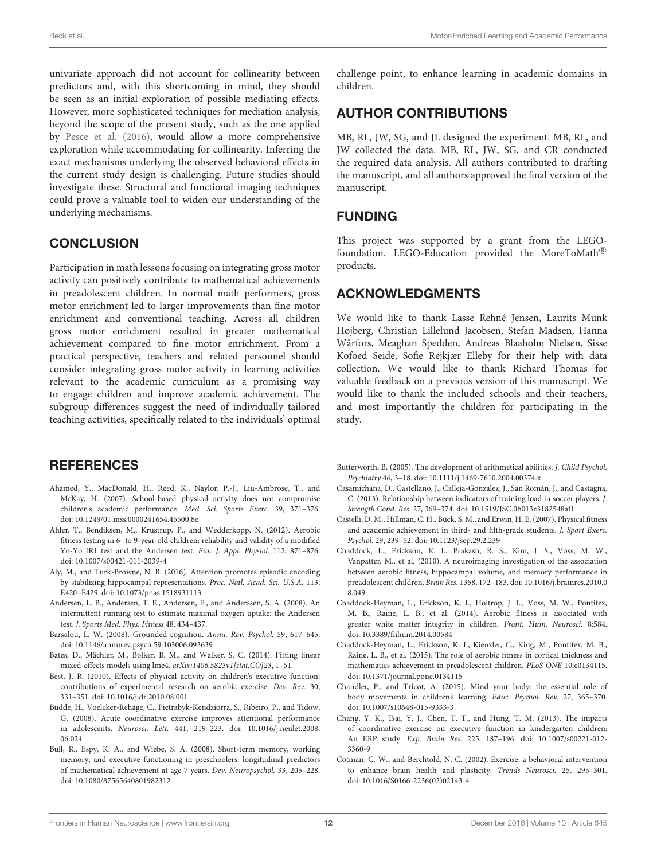univariate approach did not account for collinearity between predictors and, with this shortcoming in mind, they should be seen as an initial exploration of possible mediating effects. However, more sophisticated techniques for mediation analysis, beyond the scope of the present study, such as the one applied by [Pesce et al. \(2016\)](#page-13-9), would allow a more comprehensive exploration while accommodating for collinearity. Inferring the exact mechanisms underlying the observed behavioral effects in the current study design is challenging. Future studies should investigate these. Structural and functional imaging techniques could prove a valuable tool to widen our understanding of the underlying mechanisms.

# **CONCLUSION**

Participation in math lessons focusing on integrating gross motor activity can positively contribute to mathematical achievements in preadolescent children. In normal math performers, gross motor enrichment led to larger improvements than fine motor enrichment and conventional teaching. Across all children gross motor enrichment resulted in greater mathematical achievement compared to fine motor enrichment. From a practical perspective, teachers and related personnel should consider integrating gross motor activity in learning activities relevant to the academic curriculum as a promising way to engage children and improve academic achievement. The subgroup differences suggest the need of individually tailored teaching activities, specifically related to the individuals' optimal

## **REFERENCES**

- <span id="page-11-7"></span>Ahamed, Y., MacDonald, H., Reed, K., Naylor, P.-J., Liu-Ambrose, T., and McKay, H. (2007). School-based physical activity does not compromise children's academic performance. Med. Sci. Sports Exerc. 39, 371–376. doi: [10.1249/01.mss.0000241654.45500.8e](https://doi.org/10.1249/01.mss.0000241654.45500.8e)
- <span id="page-11-10"></span>Ahler, T., Bendiksen, M., Krustrup, P., and Wedderkopp, N. (2012). Aerobic fitness testing in 6- to 9-year-old children: reliability and validity of a modified Yo-Yo IR1 test and the Andersen test. Eur. J. Appl. Physiol. 112, 871–876. doi: [10.1007/s00421-011-2039-4](https://doi.org/10.1007/s00421-011-2039-4)
- <span id="page-11-16"></span>Aly, M., and Turk-Browne, N. B. (2016). Attention promotes episodic encoding by stabilizing hippocampal representations. Proc. Natl. Acad. Sci. U.S.A. 113, E420–E429. doi: [10.1073/pnas.1518931113](https://doi.org/10.1073/pnas.1518931113)
- <span id="page-11-9"></span>Andersen, L. B., Andersen, T. E., Andersen, E., and Anderssen, S. A. (2008). An intermittent running test to estimate maximal oxygen uptake: the Andersen test. J. Sports Med. Phys. Fitness 48, 434–437.
- <span id="page-11-17"></span>Barsalou, L. W. (2008). Grounded cognition. Annu. Rev. Psychol. 59, 617–645. doi: [10.1146/annurev.psych.59.103006.093639](https://doi.org/10.1146/annurev.psych.59.103006.093639)
- <span id="page-11-12"></span>Bates, D., Mächler, M., Bolker, B. M., and Walker, S. C. (2014). Fitting linear mixed-effects models using lme4. arXiv:1406.5823v1[stat.CO]23, 1–51.
- <span id="page-11-3"></span>Best, J. R. (2010). Effects of physical activity on children's executive function: contributions of experimental research on aerobic exercise. Dev. Rev. 30, 331–351. doi: [10.1016/j.dr.2010.08.001](https://doi.org/10.1016/j.dr.2010.08.001)
- <span id="page-11-15"></span>Budde, H., Voelcker-Rehage, C., Pietrabyk-Kendziorra, S., Ribeiro, P., and Tidow, G. (2008). Acute coordinative exercise improves attentional performance in adolescents. Neurosci. Lett. [441, 219–223. doi: 10.1016/j.neulet.2008.](https://doi.org/10.1016/j.neulet.2008.06.024) 06.024
- <span id="page-11-8"></span>Bull, R., Espy, K. A., and Wiebe, S. A. (2008). Short-term memory, working memory, and executive functioning in preschoolers: longitudinal predictors of mathematical achievement at age 7 years. Dev. Neuropsychol. 33, 205–228. doi: [10.1080/87565640801982312](https://doi.org/10.1080/87565640801982312)

challenge point, to enhance learning in academic domains in children.

## AUTHOR CONTRIBUTIONS

MB, RL, JW, SG, and JL designed the experiment. MB, RL, and JW collected the data. MB, RL, JW, SG, and CR conducted the required data analysis. All authors contributed to drafting the manuscript, and all authors approved the final version of the manuscript.

## FUNDING

This project was supported by a grant from the LEGOfoundation. LEGO-Education provided the MoreToMath® products.

## ACKNOWLEDGMENTS

We would like to thank Lasse Rehné Jensen, Laurits Munk Højberg, Christian Lillelund Jacobsen, Stefan Madsen, Hanna Wårfors, Meaghan Spedden, Andreas Blaaholm Nielsen, Sisse Kofoed Seide, Sofie Rejkjær Elleby for their help with data collection. We would like to thank Richard Thomas for valuable feedback on a previous version of this manuscript. We would like to thank the included schools and their teachers, and most importantly the children for participating in the study.

- <span id="page-11-0"></span>Butterworth, B. (2005). The development of arithmetical abilities. J. Child Psychol. Psychiatry 46, 3–18. doi: [10.1111/j.1469-7610.2004.00374.x](https://doi.org/10.1111/j.1469-7610.2004.00374.x)
- <span id="page-11-11"></span>Casamichana, D., Castellano, J., Calleja-Gonzalez, J., San Román, J., and Castagna, C. (2013). Relationship between indicators of training load in soccer players. J. Strength Cond. Res. 27, 369–374. doi: [10.1519/JSC.0b013e3182548af1](https://doi.org/10.1519/JSC.0b013e3182548af1)
- <span id="page-11-1"></span>Castelli, D. M., Hillman, C. H., Buck, S. M., and Erwin, H. E. (2007). Physical fitness and academic achievement in third- and fifth-grade students. J. Sport Exerc. Psychol. 29, 239–52. doi: [10.1123/jsep.29.2.239](https://doi.org/10.1123/jsep.29.2.239)
- <span id="page-11-4"></span>Chaddock, L., Erickson, K. I., Prakash, R. S., Kim, J. S., Voss, M. W., Vanpatter, M., et al. (2010). A neuroimaging investigation of the association between aerobic fitness, hippocampal volume, and memory performance in preadolescent children. Brain Res. [1358, 172–183. doi: 10.1016/j.brainres.2010.0](https://doi.org/10.1016/j.brainres.2010.08.049) 8.049
- <span id="page-11-5"></span>Chaddock-Heyman, L., Erickson, K. I., Holtrop, J. L., Voss, M. W., Pontifex, M. B., Raine, L. B., et al. (2014). Aerobic fitness is associated with greater white matter integrity in children. Front. Hum. Neurosci. 8:584. doi: [10.3389/fnhum.2014.00584](https://doi.org/10.3389/fnhum.2014.00584)
- <span id="page-11-2"></span>Chaddock-Heyman, L., Erickson, K. I., Kienzler, C., King, M., Pontifex, M. B., Raine, L. B., et al. (2015). The role of aerobic fitness in cortical thickness and mathematics achievement in preadolescent children. PLoS ONE 10:e0134115. doi: [10.1371/journal.pone.0134115](https://doi.org/10.1371/journal.pone.0134115)
- <span id="page-11-13"></span>Chandler, P., and Tricot, A. (2015). Mind your body: the essential role of body movements in children's learning. Educ. Psychol. Rev. 27, 365–370. doi: [10.1007/s10648-015-9333-3](https://doi.org/10.1007/s10648-015-9333-3)
- <span id="page-11-6"></span>Chang, Y. K., Tsai, Y. J., Chen, T. T., and Hung, T. M. (2013). The impacts of coordinative exercise on executive function in kindergarten children: An ERP study. Exp. Brain Res. [225, 187–196. doi: 10.1007/s00221-012-](https://doi.org/10.1007/s00221-012-3360-9) 3360-9
- <span id="page-11-14"></span>Cotman, C. W., and Berchtold, N. C. (2002). Exercise: a behavioral intervention to enhance brain health and plasticity. Trends Neurosci. 25, 295–301. doi: [10.1016/S0166-2236\(02\)02143-4](https://doi.org/10.1016/S0166-2236(02)02143-4)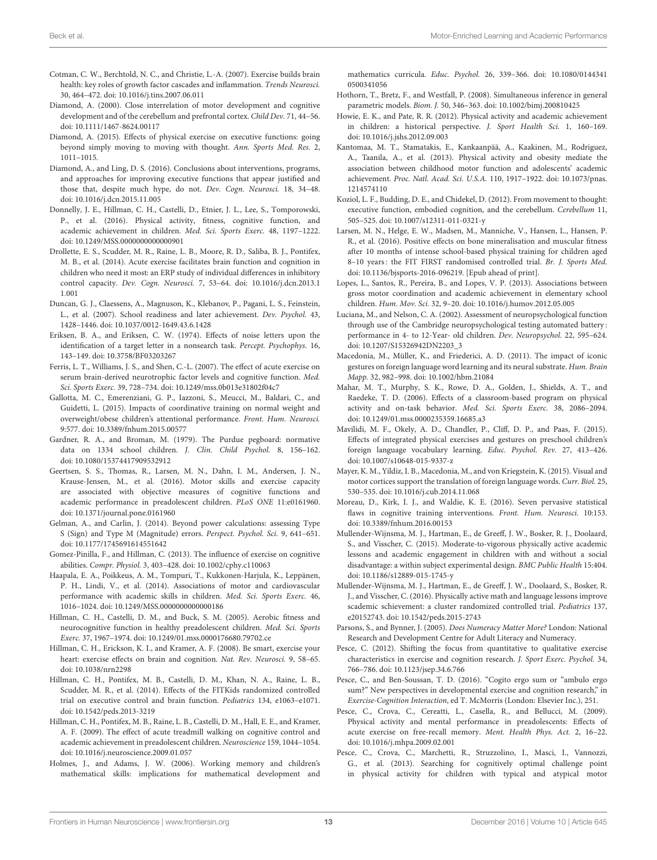- <span id="page-12-27"></span>Cotman, C. W., Berchtold, N. C., and Christie, L.-A. (2007). Exercise builds brain health: key roles of growth factor cascades and inflammation. Trends Neurosci. 30, 464–472. doi: [10.1016/j.tins.2007.06.011](https://doi.org/10.1016/j.tins.2007.06.011)
- <span id="page-12-32"></span>Diamond, A. (2000). Close interrelation of motor development and cognitive development and of the cerebellum and prefrontal cortex. Child Dev. 71, 44–56. doi: [10.1111/1467-8624.00117](https://doi.org/10.1111/1467-8624.00117)
- <span id="page-12-7"></span>Diamond, A. (2015). Effects of physical exercise on executive functions: going beyond simply moving to moving with thought. Ann. Sports Med. Res. 2, 1011–1015.
- <span id="page-12-3"></span>Diamond, A., and Ling, D. S. (2016). Conclusions about interventions, programs, and approaches for improving executive functions that appear justified and those that, despite much hype, do not. Dev. Cogn. Neurosci. 18, 34–48. doi: [10.1016/j.dcn.2015.11.005](https://doi.org/10.1016/j.dcn.2015.11.005)
- <span id="page-12-4"></span>Donnelly, J. E., Hillman, C. H., Castelli, D., Etnier, J. L., Lee, S., Tomporowski, P., et al. (2016). Physical activity, fitness, cognitive function, and academic achievement in children. Med. Sci. Sports Exerc. 48, 1197–1222. doi: [10.1249/MSS.0000000000000901](https://doi.org/10.1249/MSS.0000000000000901)
- <span id="page-12-16"></span>Drollette, E. S., Scudder, M. R., Raine, L. B., Moore, R. D., Saliba, B. J., Pontifex, M. B., et al. (2014). Acute exercise facilitates brain function and cognition in children who need it most: an ERP study of individual differences in inhibitory control capacity. Dev. Cogn. Neurosci. [7, 53–64. doi: 10.1016/j.dcn.2013.1](https://doi.org/10.1016/j.dcn.2013.11.001) 1.001
- <span id="page-12-0"></span>Duncan, G. J., Claessens, A., Magnuson, K., Klebanov, P., Pagani, L. S., Feinstein, L., et al. (2007). School readiness and later achievement. Dev. Psychol. 43, 1428–1446. doi: [10.1037/0012-1649.43.6.1428](https://doi.org/10.1037/0012-1649.43.6.1428)
- <span id="page-12-19"></span>Eriksen, B. A., and Eriksen, C. W. (1974). Effects of noise letters upon the identification of a target letter in a nonsearch task. Percept. Psychophys. 16, 143–149. doi: [10.3758/BF03203267](https://doi.org/10.3758/BF03203267)
- <span id="page-12-28"></span>Ferris, L. T., Williams, J. S., and Shen, C.-L. (2007). The effect of acute exercise on serum brain-derived neurotrophic factor levels and cognitive function. Med. Sci. Sports Exerc. 39, 728–734. doi: [10.1249/mss.0b013e31802f04c7](https://doi.org/10.1249/mss.0b013e31802f04c7)
- <span id="page-12-30"></span>Gallotta, M. C., Emerenziani, G. P., Iazzoni, S., Meucci, M., Baldari, C., and Guidetti, L. (2015). Impacts of coordinative training on normal weight and overweight/obese children's attentional performance. Front. Hum. Neurosci. 9:577. doi: [10.3389/fnhum.2015.00577](https://doi.org/10.3389/fnhum.2015.00577)
- <span id="page-12-25"></span>Gardner, R. A., and Broman, M. (1979). The Purdue pegboard: normative data on 1334 school children. J. Clin. Child Psychol. 8, 156–162. doi: [10.1080/15374417909532912](https://doi.org/10.1080/15374417909532912)
- <span id="page-12-12"></span>Geertsen, S. S., Thomas, R., Larsen, M. N., Dahn, I. M., Andersen, J. N., Krause-Jensen, M., et al. (2016). Motor skills and exercise capacity are associated with objective measures of cognitive functions and academic performance in preadolescent children. PLoS ONE 11:e0161960. doi: [10.1371/journal.pone.0161960](https://doi.org/10.1371/journal.pone.0161960)
- <span id="page-12-38"></span>Gelman, A., and Carlin, J. (2014). Beyond power calculations: assessing Type S (Sign) and Type M (Magnitude) errors. Perspect. Psychol. Sci. 9, 641–651. doi: [10.1177/1745691614551642](https://doi.org/10.1177/1745691614551642)
- <span id="page-12-13"></span>Gomez-Pinilla, F., and Hillman, C. (2013). The influence of exercise on cognitive abilities. Compr. Physiol. 3, 403–428. doi: [10.1002/cphy.c110063](https://doi.org/10.1002/cphy.c110063)
- <span id="page-12-11"></span>Haapala, E. A., Poikkeus, A. M., Tompuri, T., Kukkonen-Harjula, K., Leppänen, P. H., Lindi, V., et al. (2014). Associations of motor and cardiovascular performance with academic skills in children. Med. Sci. Sports Exerc. 46, 1016–1024. doi: [10.1249/MSS.0000000000000186](https://doi.org/10.1249/MSS.0000000000000186)
- <span id="page-12-8"></span>Hillman, C. H., Castelli, D. M., and Buck, S. M. (2005). Aerobic fitness and neurocognitive function in healthy preadolescent children. Med. Sci. Sports Exerc. 37, 1967–1974. doi: [10.1249/01.mss.0000176680.79702.ce](https://doi.org/10.1249/01.mss.0000176680.79702.ce)
- <span id="page-12-2"></span>Hillman, C. H., Erickson, K. I., and Kramer, A. F. (2008). Be smart, exercise your heart: exercise effects on brain and cognition. Nat. Rev. Neurosci. 9, 58-65. doi: [10.1038/nrn2298](https://doi.org/10.1038/nrn2298)
- <span id="page-12-20"></span>Hillman, C. H., Pontifex, M. B., Castelli, D. M., Khan, N. A., Raine, L. B., Scudder, M. R., et al. (2014). Effects of the FITKids randomized controlled trial on executive control and brain function. Pediatrics 134, e1063–e1071. doi: [10.1542/peds.2013-3219](https://doi.org/10.1542/peds.2013-3219)
- <span id="page-12-21"></span>Hillman, C. H., Pontifex, M. B., Raine, L. B., Castelli, D. M., Hall, E. E., and Kramer, A. F. (2009). The effect of acute treadmill walking on cognitive control and academic achievement in preadolescent children. Neuroscience 159, 1044–1054. doi: [10.1016/j.neuroscience.2009.01.057](https://doi.org/10.1016/j.neuroscience.2009.01.057)
- <span id="page-12-37"></span>Holmes, J., and Adams, J. W. (2006). Working memory and children's mathematical skills: implications for mathematical development and

mathematics curricula. Educ. Psychol. [26, 339–366. doi: 10.1080/0144341](https://doi.org/10.1080/01443410500341056) 0500341056

- <span id="page-12-26"></span>Hothorn, T., Bretz, F., and Westfall, P. (2008). Simultaneous inference in general parametric models. Biom. J. 50, 346–363. doi: [10.1002/bimj.200810425](https://doi.org/10.1002/bimj.200810425)
- <span id="page-12-18"></span>Howie, E. K., and Pate, R. R. (2012). Physical activity and academic achievement in children: a historical perspective. J. Sport Health Sci. 1, 160–169. doi: [10.1016/j.jshs.2012.09.003](https://doi.org/10.1016/j.jshs.2012.09.003)
- <span id="page-12-9"></span>Kantomaa, M. T., Stamatakis, E., Kankaanpää, A., Kaakinen, M., Rodriguez, A., Taanila, A., et al. (2013). Physical activity and obesity mediate the association between childhood motor function and adolescents' academic achievement. Proc. Natl. Acad. Sci. U.S.A. [110, 1917–1922. doi: 10.1073/pnas.](https://doi.org/10.1073/pnas.1214574110) 1214574110
- <span id="page-12-31"></span>Koziol, L. F., Budding, D. E., and Chidekel, D. (2012). From movement to thought: executive function, embodied cognition, and the cerebellum. Cerebellum 11, 505–525. doi: [10.1007/s12311-011-0321-y](https://doi.org/10.1007/s12311-011-0321-y)
- <span id="page-12-24"></span>Larsen, M. N., Helge, E. W., Madsen, M., Manniche, V., Hansen, L., Hansen, P. R., et al. (2016). Positive effects on bone mineralisation and muscular fitness after 10 months of intense school-based physical training for children aged 8-10 years: the FIT FIRST randomised controlled trial. Br. J. Sports Med. doi: [10.1136/bjsports-2016-096219.](https://doi.org/10.1136/bjsports-2016-096219) [Epub ahead of print].
- <span id="page-12-10"></span>Lopes, L., Santos, R., Pereira, B., and Lopes, V. P. (2013). Associations between gross motor coordination and academic achievement in elementary school children. Hum. Mov. Sci. 32, 9–20. doi: [10.1016/j.humov.2012.05.005](https://doi.org/10.1016/j.humov.2012.05.005)
- <span id="page-12-22"></span>Luciana, M., and Nelson, C. A. (2002). Assessment of neuropsychological function through use of the Cambridge neuropsychological testing automated battery : performance in 4- to 12-Year- old children. Dev. Neuropsychol. 22, 595–624. doi: [10.1207/S15326942DN2203\\_3](https://doi.org/10.1207/S15326942DN2203_3)
- <span id="page-12-33"></span>Macedonia, M., Müller, K., and Friederici, A. D. (2011). The impact of iconic gestures on foreign language word learning and its neural substrate. Hum. Brain Mapp. 32, 982–998. doi: [10.1002/hbm.21084](https://doi.org/10.1002/hbm.21084)
- <span id="page-12-15"></span>Mahar, M. T., Murphy, S. K., Rowe, D. A., Golden, J., Shields, A. T., and Raedeke, T. D. (2006). Effects of a classroom-based program on physical activity and on-task behavior. Med. Sci. Sports Exerc. 38, 2086–2094. doi: [10.1249/01.mss.0000235359.16685.a3](https://doi.org/10.1249/01.mss.0000235359.16685.a3)
- <span id="page-12-35"></span>Mavilidi, M. F., Okely, A. D., Chandler, P., Cliff, D. P., and Paas, F. (2015). Effects of integrated physical exercises and gestures on preschool children's foreign language vocabulary learning. Educ. Psychol. Rev. 27, 413–426. doi: [10.1007/s10648-015-9337-z](https://doi.org/10.1007/s10648-015-9337-z)
- <span id="page-12-34"></span>Mayer, K. M., Yildiz, I. B., Macedonia, M., and von Kriegstein, K. (2015). Visual and motor cortices support the translation of foreign language words. Curr. Biol. 25, 530–535. doi: [10.1016/j.cub.2014.11.068](https://doi.org/10.1016/j.cub.2014.11.068)
- <span id="page-12-36"></span>Moreau, D., Kirk, I. J., and Waldie, K. E. (2016). Seven pervasive statistical flaws in cognitive training interventions. Front. Hum. Neurosci. 10:153. doi: [10.3389/fnhum.2016.00153](https://doi.org/10.3389/fnhum.2016.00153)
- <span id="page-12-29"></span>Mullender-Wijnsma, M. J., Hartman, E., de Greeff, J. W., Bosker, R. J., Doolaard, S., and Visscher, C. (2015). Moderate-to-vigorous physically active academic lessons and academic engagement in children with and without a social disadvantage: a within subject experimental design. BMC Public Health 15:404. doi: [10.1186/s12889-015-1745-y](https://doi.org/10.1186/s12889-015-1745-y)
- <span id="page-12-14"></span>Mullender-Wijnsma, M. J., Hartman, E., de Greeff, J. W., Doolaard, S., Bosker, R. J., and Visscher, C. (2016). Physically active math and language lessons improve scademic schievement: a cluster randomized controlled trial. Pediatrics 137, e20152743. doi: [10.1542/peds.2015-2743](https://doi.org/10.1542/peds.2015-2743)
- <span id="page-12-1"></span>Parsons, S., and Bynner, J. (2005). Does Numeracy Matter More? London: National Research and Development Centre for Adult Literacy and Numeracy.
- <span id="page-12-6"></span>Pesce, C. (2012). Shifting the focus from quantitative to qualitative exercise characteristics in exercise and cognition research. J. Sport Exerc. Psychol. 34, 766–786. doi: [10.1123/jsep.34.6.766](https://doi.org/10.1123/jsep.34.6.766)
- <span id="page-12-5"></span>Pesce, C., and Ben-Soussan, T. D. (2016). "Cogito ergo sum or "ambulo ergo sum?" New perspectives in developmental exercise and cognition research," in Exercise-Cognition Interaction, ed T. McMorris (London: Elsevier Inc.), 251.
- <span id="page-12-23"></span>Pesce, C., Crova, C., Cereatti, L., Casella, R., and Bellucci, M. (2009). Physical activity and mental performance in preadolescents: Effects of acute exercise on free-recall memory. Ment. Health Phys. Act. 2, 16–22. doi: [10.1016/j.mhpa.2009.02.001](https://doi.org/10.1016/j.mhpa.2009.02.001)
- <span id="page-12-17"></span>Pesce, C., Crova, C., Marchetti, R., Struzzolino, I., Masci, I., Vannozzi, G., et al. (2013). Searching for cognitively optimal challenge point in physical activity for children with typical and atypical motor